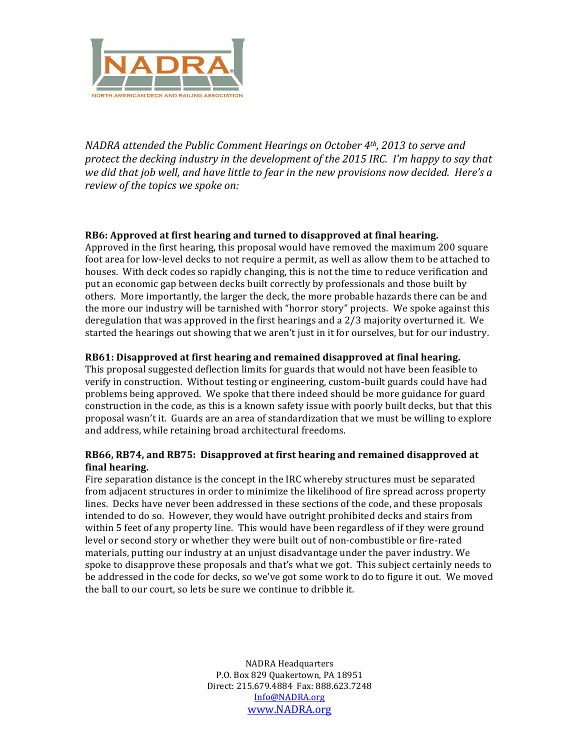

*NADRA* attended the Public Comment Hearings on October 4<sup>th</sup>, 2013 to serve and protect the decking industry in the development of the 2015 IRC. I'm happy to say that we did that job well, and have little to fear in the new provisions now decided. Here's a *review of the topics we spoke on:* 

#### **RB6: Approved at first hearing and turned to disapproved at final hearing.**

Approved in the first hearing, this proposal would have removed the maximum 200 square foot area for low-level decks to not require a permit, as well as allow them to be attached to houses. With deck codes so rapidly changing, this is not the time to reduce verification and put an economic gap between decks built correctly by professionals and those built by others. More importantly, the larger the deck, the more probable hazards there can be and the more our industry will be tarnished with "horror story" projects. We spoke against this deregulation that was approved in the first hearings and a  $2/3$  majority overturned it. We started the hearings out showing that we aren't just in it for ourselves, but for our industry.

#### **RB61: Disapproved at first hearing and remained disapproved at final hearing.**

This proposal suggested deflection limits for guards that would not have been feasible to verify in construction. Without testing or engineering, custom-built guards could have had problems being approved. We spoke that there indeed should be more guidance for guard construction in the code, as this is a known safety issue with poorly built decks, but that this proposal wasn't it. Guards are an area of standardization that we must be willing to explore and address, while retaining broad architectural freedoms.

## **RB66, RB74, and RB75: Disapproved at first hearing and remained disapproved at final hearing.**

Fire separation distance is the concept in the IRC whereby structures must be separated from adjacent structures in order to minimize the likelihood of fire spread across property lines. Decks have never been addressed in these sections of the code, and these proposals intended to do so. However, they would have outright prohibited decks and stairs from within 5 feet of any property line. This would have been regardless of if they were ground level or second story or whether they were built out of non-combustible or fire-rated materials, putting our industry at an unjust disadvantage under the paver industry. We spoke to disapprove these proposals and that's what we got. This subject certainly needs to be addressed in the code for decks, so we've got some work to do to figure it out. We moved the ball to our court, so lets be sure we continue to dribble it.

> **NADRA Headquarters** P.O. Box 829 Ouakertown, PA 18951 Direct: 215.679.4884 Fax: 888.623.7248 Info@NADRA.org www.NADRA.org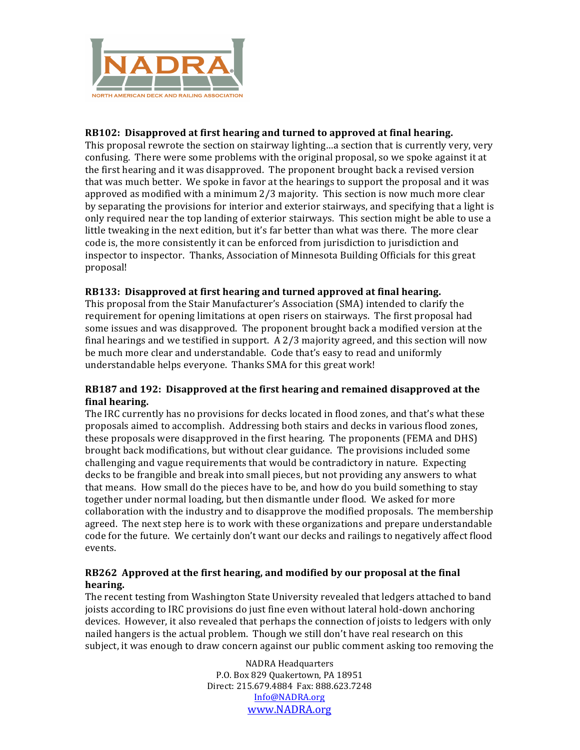

# **RB102:** Disapproved at first hearing and turned to approved at final hearing.

This proposal rewrote the section on stairway lighting...a section that is currently very, very confusing. There were some problems with the original proposal, so we spoke against it at the first hearing and it was disapproved. The proponent brought back a revised version that was much better. We spoke in favor at the hearings to support the proposal and it was approved as modified with a minimum  $2/3$  majority. This section is now much more clear by separating the provisions for interior and exterior stairways, and specifying that a light is only required near the top landing of exterior stairways. This section might be able to use a little tweaking in the next edition, but it's far better than what was there. The more clear code is, the more consistently it can be enforced from jurisdiction to jurisdiction and inspector to inspector. Thanks, Association of Minnesota Building Officials for this great proposal!

## **RB133:** Disapproved at first hearing and turned approved at final hearing.

This proposal from the Stair Manufacturer's Association (SMA) intended to clarify the requirement for opening limitations at open risers on stairways. The first proposal had some issues and was disapproved. The proponent brought back a modified version at the final hearings and we testified in support. A  $2/3$  majority agreed, and this section will now be much more clear and understandable. Code that's easy to read and uniformly understandable helps everyone. Thanks SMA for this great work!

#### **RB187** and 192: Disapproved at the first hearing and remained disapproved at the **final hearing.**

The IRC currently has no provisions for decks located in flood zones, and that's what these proposals aimed to accomplish. Addressing both stairs and decks in various flood zones, these proposals were disapproved in the first hearing. The proponents (FEMA and DHS) brought back modifications, but without clear guidance. The provisions included some challenging and vague requirements that would be contradictory in nature. Expecting decks to be frangible and break into small pieces, but not providing any answers to what that means. How small do the pieces have to be, and how do you build something to stay together under normal loading, but then dismantle under flood. We asked for more collaboration with the industry and to disapprove the modified proposals. The membership agreed. The next step here is to work with these organizations and prepare understandable code for the future. We certainly don't want our decks and railings to negatively affect flood events.

## **RB262** Approved at the first hearing, and modified by our proposal at the final **hearing.**

The recent testing from Washington State University revealed that ledgers attached to band joists according to IRC provisions do just fine even without lateral hold-down anchoring devices. However, it also revealed that perhaps the connection of joists to ledgers with only nailed hangers is the actual problem. Though we still don't have real research on this subject, it was enough to draw concern against our public comment asking too removing the

> **NADRA Headquarters** P.O. Box 829 Ouakertown, PA 18951 Direct: 215.679.4884 Fax: 888.623.7248 Info@NADRA.org www.NADRA.org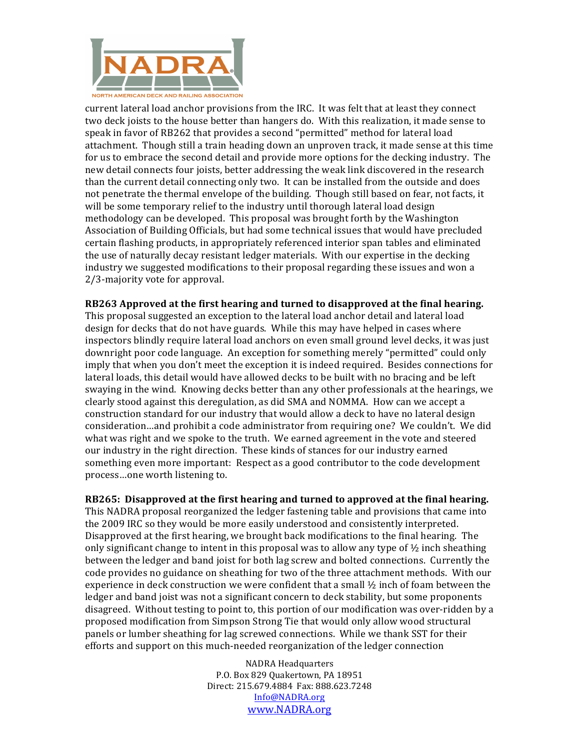

current lateral load anchor provisions from the IRC. It was felt that at least they connect two deck joists to the house better than hangers do. With this realization, it made sense to speak in favor of RB262 that provides a second "permitted" method for lateral load attachment. Though still a train heading down an unproven track, it made sense at this time for us to embrace the second detail and provide more options for the decking industry. The new detail connects four joists, better addressing the weak link discovered in the research than the current detail connecting only two. It can be installed from the outside and does not penetrate the thermal envelope of the building. Though still based on fear, not facts, it will be some temporary relief to the industry until thorough lateral load design methodology can be developed. This proposal was brought forth by the Washington Association of Building Officials, but had some technical issues that would have precluded certain flashing products, in appropriately referenced interior span tables and eliminated the use of naturally decay resistant ledger materials. With our expertise in the decking industry we suggested modifications to their proposal regarding these issues and won a 2/3-majority vote for approval.

**RB263** Approved at the first hearing and turned to disapproved at the final hearing. This proposal suggested an exception to the lateral load anchor detail and lateral load design for decks that do not have guards. While this may have helped in cases where inspectors blindly require lateral load anchors on even small ground level decks, it was just downright poor code language. An exception for something merely "permitted" could only imply that when you don't meet the exception it is indeed required. Besides connections for lateral loads, this detail would have allowed decks to be built with no bracing and be left swaying in the wind. Knowing decks better than any other professionals at the hearings, we clearly stood against this deregulation, as did SMA and NOMMA. How can we accept a construction standard for our industry that would allow a deck to have no lateral design consideration ... and prohibit a code administrator from requiring one? We couldn't. We did what was right and we spoke to the truth. We earned agreement in the vote and steered our industry in the right direction. These kinds of stances for our industry earned something even more important: Respect as a good contributor to the code development process...one worth listening to.

**RB265:** Disapproved at the first hearing and turned to approved at the final hearing. This NADRA proposal reorganized the ledger fastening table and provisions that came into the 2009 IRC so they would be more easily understood and consistently interpreted. Disapproved at the first hearing, we brought back modifications to the final hearing. The only significant change to intent in this proposal was to allow any type of  $\frac{1}{2}$  inch sheathing between the ledger and band joist for both lag screw and bolted connections. Currently the code provides no guidance on sheathing for two of the three attachment methods. With our experience in deck construction we were confident that a small  $\frac{1}{2}$  inch of foam between the ledger and band joist was not a significant concern to deck stability, but some proponents disagreed. Without testing to point to, this portion of our modification was over-ridden by a proposed modification from Simpson Strong Tie that would only allow wood structural panels or lumber sheathing for lag screwed connections. While we thank SST for their efforts and support on this much-needed reorganization of the ledger connection

> **NADRA Headquarters** P.O. Box 829 Ouakertown, PA 18951 Direct: 215.679.4884 Fax: 888.623.7248 Info@NADRA.org www.NADRA.org